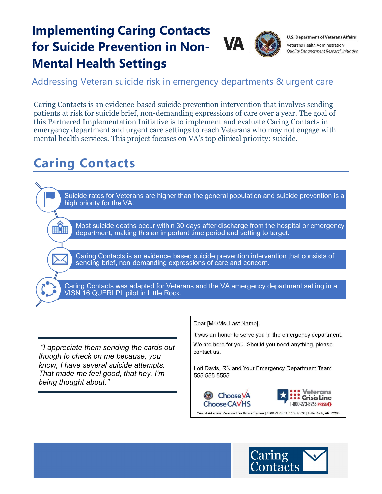## Implementing Caring Contacts for Suicide Prevention in Non-Mental Health Settings



**U.S. Department of Veterans Affairs** Veterans Health Administration **Ouality Enhancement Research Initiative** 

Addressing Veteran suicide risk in emergency departments & urgent care

 Caring Contacts is an evidence-based suicide prevention intervention that involves sending patients at risk for suicide brief, non-demanding expressions of care over a year. The goal of this Partnered Implementation Initiative is to implement and evaluate Caring Contacts in emergency department and urgent care settings to reach Veterans who may not engage with mental health services. This project focuses on VA's top clinical priority: suicide.

## Caring Contacts

878

 Suicide rates for Veterans are higher than the general population and suicide prevention is a high priority for the VA.

 Most suicide deaths occur within 30 days after discharge from the hospital or emergency department, making this an important time period and setting to target.

Caring Contacts is an evidence based suicide prevention intervention that consists of sending brief, non demanding expressions of care and concern.

 Caring Contacts was adapted for Veterans and the VA emergency department setting in a VISN 16 QUERI PII pilot in Little Rock.

 "I appreciate them sending the cards out though to check on me because, you know, I have several suicide attempts. That made me feel good, that hey, I'm being thought about."

Dear [Mr./Ms. Last Name],

It was an honor to serve you in the emergency department.

We are here for you. Should you need anything, please contact us.

Lori Davis, RN and Your Emergency Department Team 555-555-5555